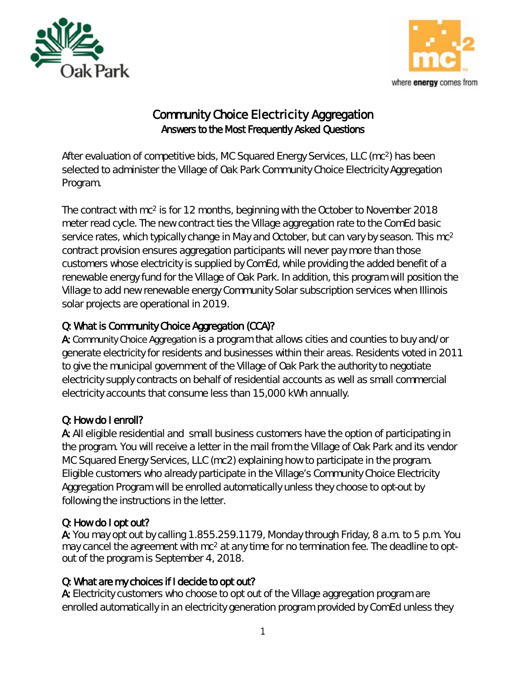



# Community Choice Electricity Aggregation Answers to the Most Frequently Asked Questions

After evaluation of competitive bids, MC Squared Energy Services, LLC (mc2) has been selected to administer the Village of Oak Park Community Choice Electricity Aggregation Program.

The contract with mc2 is for 12 months, beginning with the October to November 2018 meter read cycle. The new contract ties the Village aggregation rate to the ComEd basic service rates, which typically change in May and October, but can vary by season. This mc2 contract provision ensures aggregation participants will never pay more than those customers whose electricity is supplied by ComEd, while providing the added benefit of a renewable energy fund for the Village of Oak Park. In addition, this program will position the Village to add new renewable energy Community Solar subscription services when Illinois solar projects are operational in 2019.

# Q: What is Community Choice Aggregation (CCA)?

A: Community Choice Aggregation is a program that allows cities and counties to buy and/or generate electricity for residents and businesses within their areas. Residents voted in 2011 to give the municipal government of the Village of Oak Park the authority to negotiate electricity supply contracts on behalf of residential accounts as well as small commercial electricity accounts that consume less than 15,000 kWh annually.

## Q: How do I enroll?

A: All eligible residential and small business customers have the option of participating in the program. You will receive a letter in the mail from the Village of Oak Park and its vendor MC Squared Energy Services, LLC (mc2) explaining how to participate in the program. Eligible customers who already participate in the Village's Community Choice Electricity Aggregation Program will be enrolled automatically unless they choose to opt-out by following the instructions in the letter.

#### Q: How do I opt out?

A: You may opt out by calling 1.855.259.1179, Monday through Friday, 8 a.m. to 5 p.m. You may cancel the agreement with mc<sup>2</sup> at any time for no termination fee. The deadline to optout of the program is September 4, 2018.

## Q: What are my choices if I decide to opt out?

A: Electricity customers who choose to opt out of the Village aggregation program are enrolled automatically in an electricity generation program provided by ComEd unless they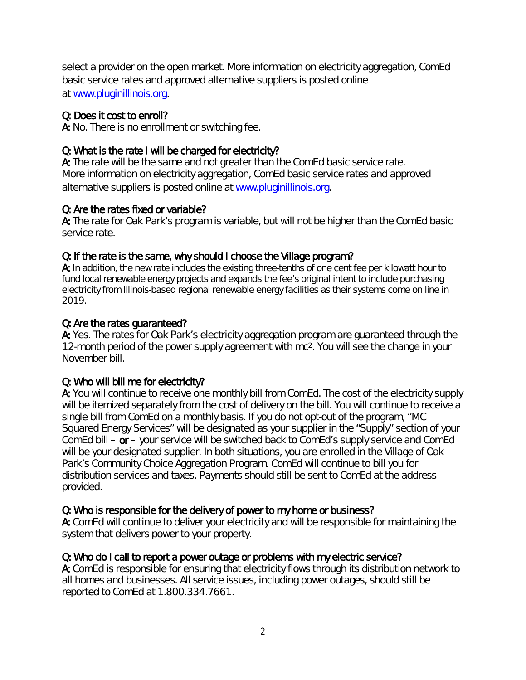select a provider on the open market. More information on electricity aggregation, ComEd basic service rates and approved alternative suppliers is posted online at [www.pluginillinois.org.](http://www.pluginillinois.org/)

#### Q: Does it cost to enroll?

A: No. There is no enrollment or switching fee.

#### Q: What is the rate I will be charged for electricity?

A: The rate will be the same and not greater than the ComEd basic service rate. More information on electricity aggregation, ComEd basic service rates and approved alternative suppliers is posted online at [www.pluginillinois.org.](http://www.pluginillinois.org/)

#### Q: Are the rates fixed or variable?

A: The rate for Oak Park's program is variable, but will not be higher than the ComEd basic service rate.

#### Q: If the rate is the same, why should I choose the Village program?

A: In addition, the new rate includes the existing three-tenths of one cent fee per kilowatt hour to fund local renewable energy projects and expands the fee's original intent to include purchasing electricity from Illinois-based regional renewable energy facilities as their systems come on line in 2019.

#### Q: Are the rates guaranteed?

A: Yes. The rates for Oak Park's electricity aggregation program are guaranteed through the 12-month period of the power supply agreement with mc2. You will see the change in your November bill.

#### Q: Who will bill me for electricity?

A: You will continue to receive one monthly bill from ComEd. The cost of the electricity supply will be itemized separately from the cost of delivery on the bill. You will continue to receive a single bill from ComEd on a monthly basis. If you do not opt-out of the program, "MC Squared Energy Services" will be designated as your supplier in the "Supply" section of your ComEd bill – or – your service will be switched back to ComEd's supply service and ComEd will be your designated supplier. In both situations, you are enrolled in the Village of Oak Park's Community Choice Aggregation Program. ComEd will continue to bill you for distribution services and taxes. Payments should still be sent to ComEd at the address provided.

#### Q: Who is responsible for the delivery of power to my home or business?

A: ComEd will continue to deliver your electricity and will be responsible for maintaining the system that delivers power to your property.

#### Q: Who do I call to report a power outage or problems with my electric service?

A: ComEd is responsible for ensuring that electricity flows through its distribution network to all homes and businesses. All service issues, including power outages, should still be reported to ComEd at 1.800.334.7661.